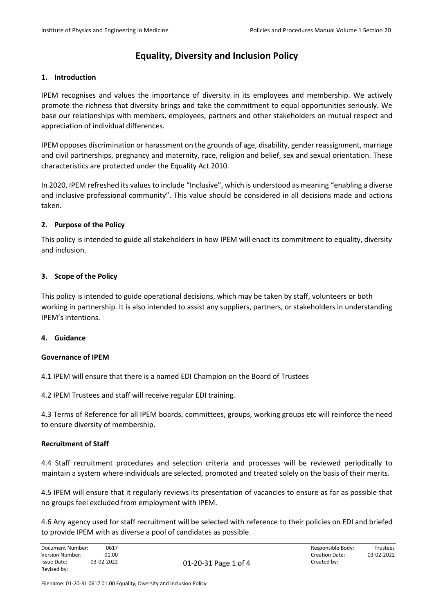# **1. Introduction**

IPEM recognises and values the importance of diversity in its employees and membership. We actively promote the richness that diversity brings and take the commitment to equal opportunities seriously. We base our relationships with members, employees, partners and other stakeholders on mutual respect and appreciation of individual differences.

IPEM opposes discrimination or harassment on the grounds of age, disability, gender reassignment, marriage and civil partnerships, pregnancy and maternity, race, religion and belief, sex and sexual orientation. These characteristics are protected under the Equality Act 2010.

In 2020, IPEM refreshed its values to include "Inclusive", which is understood as meaning "enabling a diverse and inclusive professional community". This value should be considered in all decisions made and actions taken.

# **2. Purpose of the Policy**

This policy is intended to guide all stakeholders in how IPEM will enact its commitment to equality, diversity and inclusion.

# **3. Scope of the Policy**

This policy is intended to guide operational decisions, which may be taken by staff, volunteers or both working in partnership. It is also intended to assist any suppliers, partners, or stakeholders in understanding IPEM's intentions.

# **4. Guidance**

#### **Governance of IPEM**

4.1 IPEM will ensure that there is a named EDI Champion on the Board of Trustees

4.2 IPEM Trustees and staff will receive regular EDI training.

4.3 Terms of Reference for all IPEM boards, committees, groups, working groups etc will reinforce the need to ensure diversity of membership.

#### **Recruitment of Staff**

4.4 Staff recruitment procedures and selection criteria and processes will be reviewed periodically to maintain a system where individuals are selected, promoted and treated solely on the basis of their merits.

4.5 IPEM will ensure that it regularly reviews its presentation of vacancies to ensure as far as possible that no groups feel excluded from employment with IPEM.

4.6 Any agency used for staff recruitment will be selected with reference to their policies on EDI and briefed to provide IPEM with as diverse a pool of candidates as possible.

| Document Number: | 0617       |                      | Responsible Body:     | Trustees   |
|------------------|------------|----------------------|-----------------------|------------|
| Version Number:  | 01.00      |                      | <b>Creation Date:</b> | 03-02-2022 |
| Issue Date:      | 03-02-2022 | 01-20-31 Page 1 of 4 | Created bv:           |            |
| Revised by:      |            |                      |                       |            |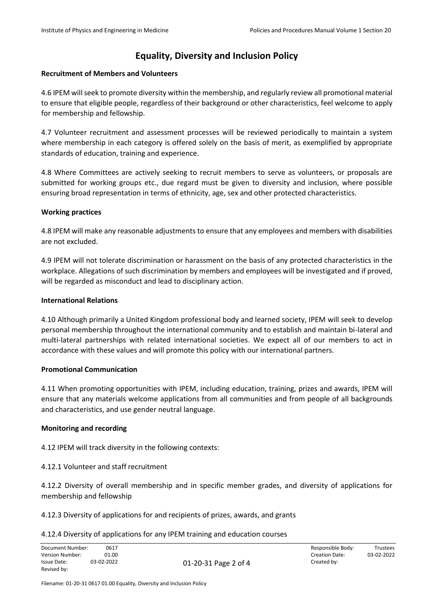# **Recruitment of Members and Volunteers**

4.6 IPEM will seek to promote diversity within the membership, and regularly review all promotional material to ensure that eligible people, regardless of their background or other characteristics, feel welcome to apply for membership and fellowship.

4.7 Volunteer recruitment and assessment processes will be reviewed periodically to maintain a system where membership in each category is offered solely on the basis of merit, as exemplified by appropriate standards of education, training and experience.

4.8 Where Committees are actively seeking to recruit members to serve as volunteers, or proposals are submitted for working groups etc., due regard must be given to diversity and inclusion, where possible ensuring broad representation in terms of ethnicity, age, sex and other protected characteristics.

# **Working practices**

4.8 IPEM will make any reasonable adjustments to ensure that any employees and members with disabilities are not excluded.

4.9 IPEM will not tolerate discrimination or harassment on the basis of any protected characteristics in the workplace. Allegations of such discrimination by members and employees will be investigated and if proved, will be regarded as misconduct and lead to disciplinary action.

# **International Relations**

4.10 Although primarily a United Kingdom professional body and learned society, IPEM will seek to develop personal membership throughout the international community and to establish and maintain bi-lateral and multi-lateral partnerships with related international societies. We expect all of our members to act in accordance with these values and will promote this policy with our international partners.

# **Promotional Communication**

4.11 When promoting opportunities with IPEM, including education, training, prizes and awards, IPEM will ensure that any materials welcome applications from all communities and from people of all backgrounds and characteristics, and use gender neutral language.

#### **Monitoring and recording**

4.12 IPEM will track diversity in the following contexts:

#### 4.12.1 Volunteer and staff recruitment

4.12.2 Diversity of overall membership and in specific member grades, and diversity of applications for membership and fellowship

#### 4.12.3 Diversity of applications for and recipients of prizes, awards, and grants

#### 4.12.4 Diversity of applications for any IPEM training and education courses

| Document Number: | 0617       | Responsible Body:                   | Trustees   |
|------------------|------------|-------------------------------------|------------|
| Version Number:  | 01.00      | Creation Date:                      | 03-02-2022 |
| Issue Date:      | 03-02-2022 | Created by:<br>01-20-31 Page 2 of 4 |            |
| Revised by:      |            |                                     |            |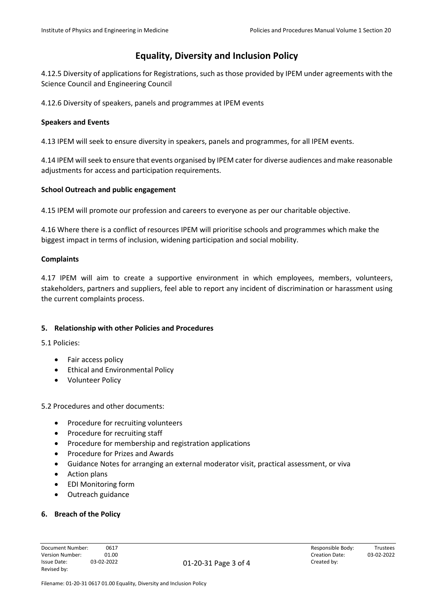4.12.5 Diversity of applications for Registrations, such as those provided by IPEM under agreements with the Science Council and Engineering Council

4.12.6 Diversity of speakers, panels and programmes at IPEM events

# **Speakers and Events**

4.13 IPEM will seek to ensure diversity in speakers, panels and programmes, for all IPEM events.

4.14 IPEM will seek to ensure that events organised by IPEM cater for diverse audiences and make reasonable adjustments for access and participation requirements.

# **School Outreach and public engagement**

4.15 IPEM will promote our profession and careers to everyone as per our charitable objective.

4.16 Where there is a conflict of resources IPEM will prioritise schools and programmes which make the biggest impact in terms of inclusion, widening participation and social mobility.

# **Complaints**

4.17 IPEM will aim to create a supportive environment in which employees, members, volunteers, stakeholders, partners and suppliers, feel able to report any incident of discrimination or harassment using the current complaints process.

# **5. Relationship with other Policies and Procedures**

5.1 Policies:

- Fair access policy
- Ethical and Environmental Policy
- Volunteer Policy

5.2 Procedures and other documents:

- Procedure for recruiting volunteers
- Procedure for recruiting staff
- Procedure for membership and registration applications
- Procedure for Prizes and Awards
- Guidance Notes for arranging an external moderator visit, practical assessment, or viva
- Action plans
- EDI Monitoring form
- Outreach guidance

#### **6. Breach of the Policy**